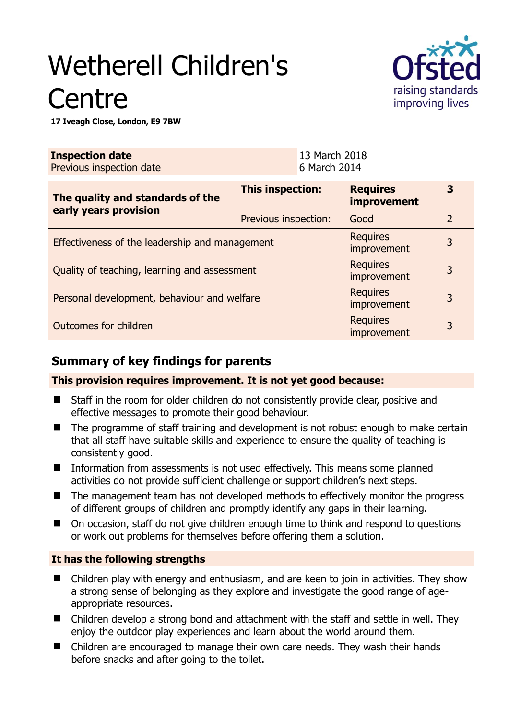# Wetherell Children's **Centre**



**17 Iveagh Close, London, E9 7BW** 

| <b>Inspection date</b><br>Previous inspection date        | 13 March 2018<br>6 March 2014 |                                       |                |
|-----------------------------------------------------------|-------------------------------|---------------------------------------|----------------|
| The quality and standards of the<br>early years provision | This inspection:              | <b>Requires</b><br><b>improvement</b> | 3              |
|                                                           | Previous inspection:          | Good                                  | $\overline{2}$ |
| Effectiveness of the leadership and management            |                               | <b>Requires</b><br>improvement        | 3              |
| Quality of teaching, learning and assessment              |                               | <b>Requires</b><br>improvement        | 3              |
| Personal development, behaviour and welfare               |                               | <b>Requires</b><br>improvement        | 3              |
| Outcomes for children                                     |                               | <b>Requires</b><br>improvement        | 3              |

# **Summary of key findings for parents**

**This provision requires improvement. It is not yet good because:** 

- Staff in the room for older children do not consistently provide clear, positive and effective messages to promote their good behaviour.
- The programme of staff training and development is not robust enough to make certain that all staff have suitable skills and experience to ensure the quality of teaching is consistently good.
- **Information from assessments is not used effectively. This means some planned** activities do not provide sufficient challenge or support children's next steps.
- The management team has not developed methods to effectively monitor the progress of different groups of children and promptly identify any gaps in their learning.
- On occasion, staff do not give children enough time to think and respond to questions or work out problems for themselves before offering them a solution.

## **It has the following strengths**

- Children play with energy and enthusiasm, and are keen to join in activities. They show a strong sense of belonging as they explore and investigate the good range of ageappropriate resources.
- Children develop a strong bond and attachment with the staff and settle in well. They enjoy the outdoor play experiences and learn about the world around them.
- Children are encouraged to manage their own care needs. They wash their hands before snacks and after going to the toilet.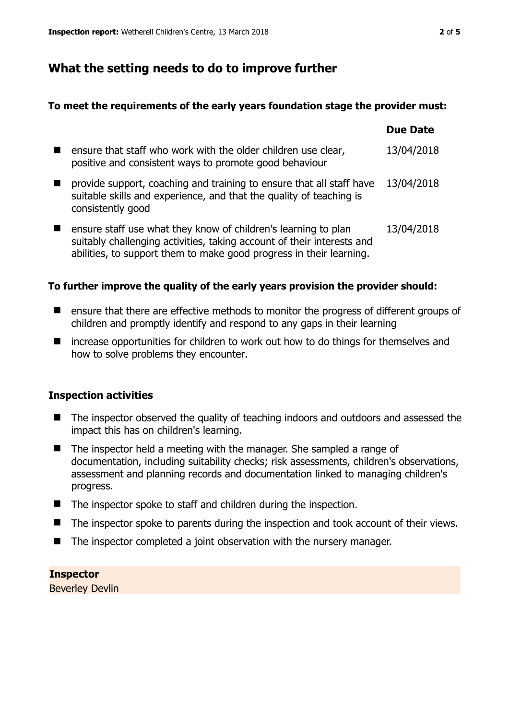## **What the setting needs to do to improve further**

#### **To meet the requirements of the early years foundation stage the provider must:**

|                                                                                                                                                                                                                 | <b>Due Date</b> |
|-----------------------------------------------------------------------------------------------------------------------------------------------------------------------------------------------------------------|-----------------|
| ensure that staff who work with the older children use clear,<br>positive and consistent ways to promote good behaviour                                                                                         | 13/04/2018      |
| provide support, coaching and training to ensure that all staff have<br>suitable skills and experience, and that the quality of teaching is<br>consistently good                                                | 13/04/2018      |
| ensure staff use what they know of children's learning to plan<br>suitably challenging activities, taking account of their interests and<br>abilities, to support them to make good progress in their learning. | 13/04/2018      |

#### **To further improve the quality of the early years provision the provider should:**

- **E** ensure that there are effective methods to monitor the progress of different groups of children and promptly identify and respond to any gaps in their learning
- increase opportunities for children to work out how to do things for themselves and how to solve problems they encounter.

#### **Inspection activities**

- The inspector observed the quality of teaching indoors and outdoors and assessed the impact this has on children's learning.
- $\blacksquare$  The inspector held a meeting with the manager. She sampled a range of documentation, including suitability checks; risk assessments, children's observations, assessment and planning records and documentation linked to managing children's progress.
- The inspector spoke to staff and children during the inspection.
- The inspector spoke to parents during the inspection and took account of their views.
- The inspector completed a joint observation with the nursery manager.

#### **Inspector**

Beverley Devlin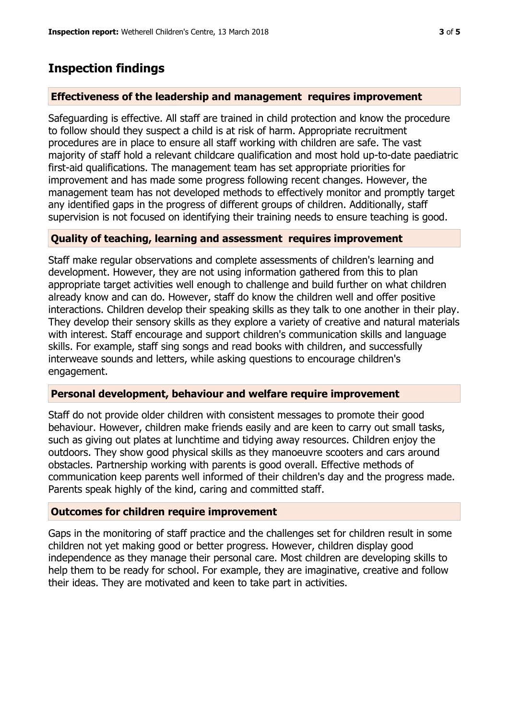## **Inspection findings**

#### **Effectiveness of the leadership and management requires improvement**

Safeguarding is effective. All staff are trained in child protection and know the procedure to follow should they suspect a child is at risk of harm. Appropriate recruitment procedures are in place to ensure all staff working with children are safe. The vast majority of staff hold a relevant childcare qualification and most hold up-to-date paediatric first-aid qualifications. The management team has set appropriate priorities for improvement and has made some progress following recent changes. However, the management team has not developed methods to effectively monitor and promptly target any identified gaps in the progress of different groups of children. Additionally, staff supervision is not focused on identifying their training needs to ensure teaching is good.

#### **Quality of teaching, learning and assessment requires improvement**

Staff make regular observations and complete assessments of children's learning and development. However, they are not using information gathered from this to plan appropriate target activities well enough to challenge and build further on what children already know and can do. However, staff do know the children well and offer positive interactions. Children develop their speaking skills as they talk to one another in their play. They develop their sensory skills as they explore a variety of creative and natural materials with interest. Staff encourage and support children's communication skills and language skills. For example, staff sing songs and read books with children, and successfully interweave sounds and letters, while asking questions to encourage children's engagement.

#### **Personal development, behaviour and welfare require improvement**

Staff do not provide older children with consistent messages to promote their good behaviour. However, children make friends easily and are keen to carry out small tasks, such as giving out plates at lunchtime and tidying away resources. Children enjoy the outdoors. They show good physical skills as they manoeuvre scooters and cars around obstacles. Partnership working with parents is good overall. Effective methods of communication keep parents well informed of their children's day and the progress made. Parents speak highly of the kind, caring and committed staff.

## **Outcomes for children require improvement**

Gaps in the monitoring of staff practice and the challenges set for children result in some children not yet making good or better progress. However, children display good independence as they manage their personal care. Most children are developing skills to help them to be ready for school. For example, they are imaginative, creative and follow their ideas. They are motivated and keen to take part in activities.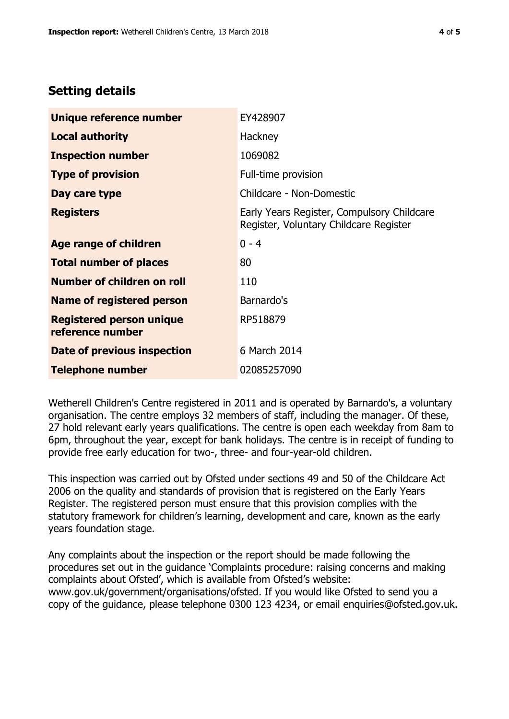## **Setting details**

| Unique reference number                             | EY428907                                                                             |
|-----------------------------------------------------|--------------------------------------------------------------------------------------|
| <b>Local authority</b>                              | Hackney                                                                              |
| <b>Inspection number</b>                            | 1069082                                                                              |
| <b>Type of provision</b>                            | Full-time provision                                                                  |
| Day care type                                       | Childcare - Non-Domestic                                                             |
| <b>Registers</b>                                    | Early Years Register, Compulsory Childcare<br>Register, Voluntary Childcare Register |
| Age range of children                               | $0 - 4$                                                                              |
| <b>Total number of places</b>                       | 80                                                                                   |
| Number of children on roll                          | 110                                                                                  |
| Name of registered person                           | Barnardo's                                                                           |
| <b>Registered person unique</b><br>reference number | RP518879                                                                             |
| Date of previous inspection                         | 6 March 2014                                                                         |
| <b>Telephone number</b>                             | 02085257090                                                                          |

Wetherell Children's Centre registered in 2011 and is operated by Barnardo's, a voluntary organisation. The centre employs 32 members of staff, including the manager. Of these, 27 hold relevant early years qualifications. The centre is open each weekday from 8am to 6pm, throughout the year, except for bank holidays. The centre is in receipt of funding to provide free early education for two-, three- and four-year-old children.

This inspection was carried out by Ofsted under sections 49 and 50 of the Childcare Act 2006 on the quality and standards of provision that is registered on the Early Years Register. The registered person must ensure that this provision complies with the statutory framework for children's learning, development and care, known as the early years foundation stage.

Any complaints about the inspection or the report should be made following the procedures set out in the guidance 'Complaints procedure: raising concerns and making complaints about Ofsted', which is available from Ofsted's website: www.gov.uk/government/organisations/ofsted. If you would like Ofsted to send you a copy of the guidance, please telephone 0300 123 4234, or email enquiries@ofsted.gov.uk.